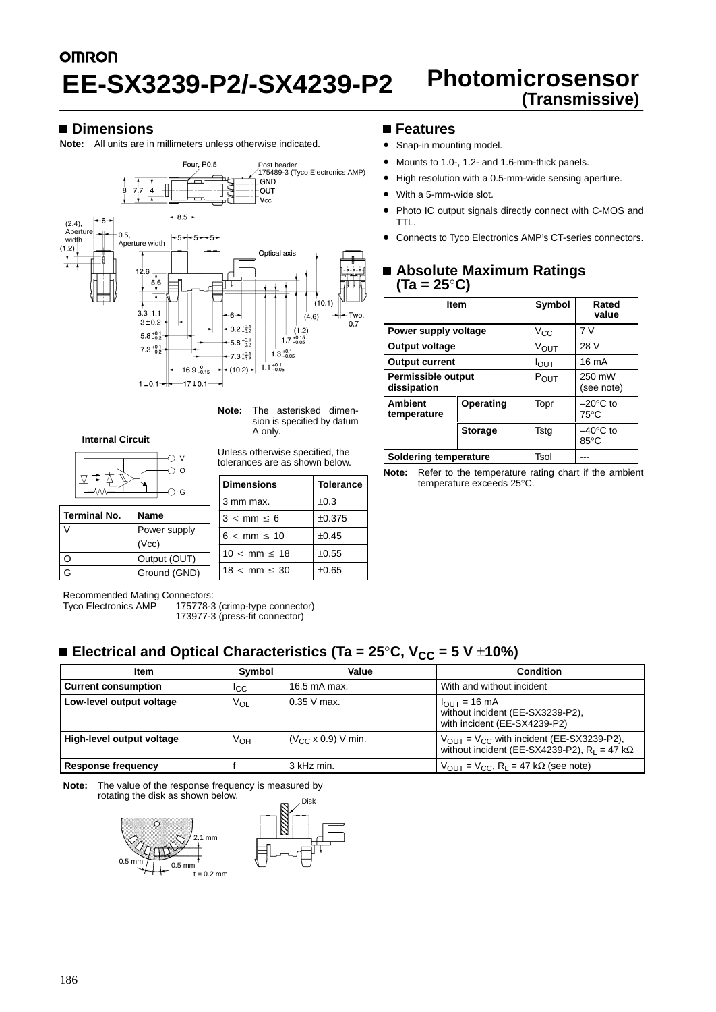# **OMRON (Transmissive) EE-SX3239-P2/-SX4239-P2**

# **Photomicrosensor**<br>(Transmissive)

#### **Dimensions**

**Note:** All units are in millimeters unless otherwise indicated.



**Note:** The asterisked dimension is specified by datum A only.

## **Internal Circuit**

V  $\cap$  o Δ  $\supset$  G

| <b>Terminal No.</b> | <b>Name</b>  |  |
|---------------------|--------------|--|
|                     | Power supply |  |
|                     | (Vcc)        |  |
|                     | Output (OUT) |  |
|                     | Ground (GND) |  |

Unless otherwise specified, the tolerances are as shown below.

| <b>Dimensions</b>        | <b>Tolerance</b> |  |
|--------------------------|------------------|--|
| 3 mm max.                | $\pm 0.3$        |  |
| $3 < mm \leq 6$          | ±0.375           |  |
| $6 < \text{mm} \leq 10$  | $+0.45$          |  |
| $10 < \text{mm} \leq 18$ | $+0.55$          |  |
| $18 < \text{mm} \leq 30$ | $\pm 0.65$       |  |

#### **Features**

- Snap-in mounting model.
- Mounts to 1.0-, 1.2- and 1.6-mm-thick panels.
- High resolution with a 0.5-mm-wide sensing aperture.
- With a 5-mm-wide slot.
- Photo IC output signals directly connect with C-MOS and TTL.
- Connects to Tyco Electronics AMP's CT-series connectors.

#### **Absolute Maximum Ratings (Ta = 25**°**C)**

|                                            | <b>Item</b>    | Symbol           | Rated<br>value                       |
|--------------------------------------------|----------------|------------------|--------------------------------------|
| Power supply voltage                       |                | $V_{\rm CC}$     | 7V                                   |
| Output voltage                             |                | <b>VOUT</b>      | 28 V                                 |
| <b>Output current</b>                      |                | $I_{\text{OUT}}$ | 16 mA                                |
| <b>Permissible output</b><br>dissipation   |                | P <sub>OUT</sub> | 250 mW<br>(see note)                 |
| <b>Ambient</b><br>Operating<br>temperature |                | Topr             | $-20^{\circ}$ C to<br>$75^{\circ}$ C |
|                                            | <b>Storage</b> | Tsta             | –40°C to<br>85°C                     |
| <b>Soldering temperature</b>               |                | Tsol             |                                      |

**Note:** Refer to the temperature rating chart if the ambient temperature exceeds 25°C.

Recommended Mating Connectors:<br>Tyco Electronics AMP 175778-3

175778-3 (crimp-type connector)

# ■ Electrical and Optical Characteristics (Ta = 25°C, V<sub>CC</sub> = 5 V ±10%)

| Item                                                             | Symbol          | Value                                                                                                   | <b>Condition</b>                                                                                     |
|------------------------------------------------------------------|-----------------|---------------------------------------------------------------------------------------------------------|------------------------------------------------------------------------------------------------------|
| <b>Current consumption</b>                                       | <sup>I</sup> CC | 16.5 mA max.                                                                                            | With and without incident                                                                            |
| Low-level output voltage                                         | Vol             | $0.35$ V max.                                                                                           | $I_{\text{OUT}} = 16 \text{ mA}$<br>without incident (EE-SX3239-P2),<br>with incident (EE-SX4239-P2) |
| High-level output voltage<br>$(V_{CC} \times 0.9)$ V min.<br>∨он |                 | $V_{OUT} = V_{CC}$ with incident (EE-SX3239-P2),<br>without incident (EE-SX4239-P2), $R_L = 47 k\Omega$ |                                                                                                      |
| <b>Response frequency</b>                                        |                 | 3 kHz min.                                                                                              | $V_{OUT} = V_{CC}$ , $R_L = 47$ k $\Omega$ (see note)                                                |

**Note:** The value of the response frequency is measured by rotating the disk as shown below.



<sup>173977-3 (</sup>press-fit connector)